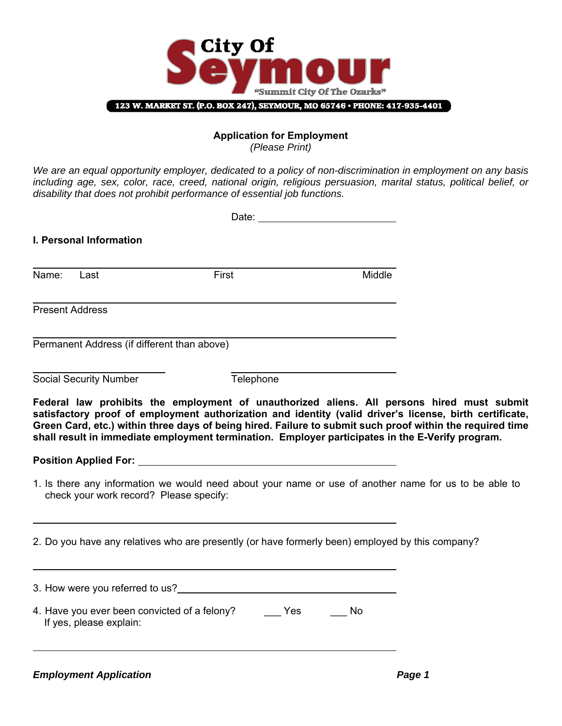

#### **Application for Employment**  *(Please Print)*

*We are an equal opportunity employer, dedicated to a policy of non-discrimination in employment on any basis including age, sex, color, race, creed, national origin, religious persuasion, marital status, political belief, or disability that does not prohibit performance of essential job functions.* 

|                        | I. Personal Information                     |                                                                                                                                                                                                                                                                                                                        |        |  |
|------------------------|---------------------------------------------|------------------------------------------------------------------------------------------------------------------------------------------------------------------------------------------------------------------------------------------------------------------------------------------------------------------------|--------|--|
| Name: Last             |                                             | First                                                                                                                                                                                                                                                                                                                  | Middle |  |
| <b>Present Address</b> |                                             |                                                                                                                                                                                                                                                                                                                        |        |  |
|                        | Permanent Address (if different than above) |                                                                                                                                                                                                                                                                                                                        |        |  |
|                        | <b>Social Security Number</b>               | Telephone                                                                                                                                                                                                                                                                                                              |        |  |
|                        |                                             | Green Card, etc.) within three days of being hired. Failure to submit such proof within the required time<br>shall result in immediate employment termination. Employer participates in the E-Verify program.<br>1. Is there any information we would need about your name or use of another name for us to be able to |        |  |
|                        | check your work record? Please specify:     | 2. Do you have any relatives who are presently (or have formerly been) employed by this company?                                                                                                                                                                                                                       |        |  |
|                        |                                             |                                                                                                                                                                                                                                                                                                                        |        |  |
|                        | If yes, please explain:                     | 4. Have you ever been convicted of a felony? ______ Yes ______ No                                                                                                                                                                                                                                                      |        |  |

**Employment Application Page 1**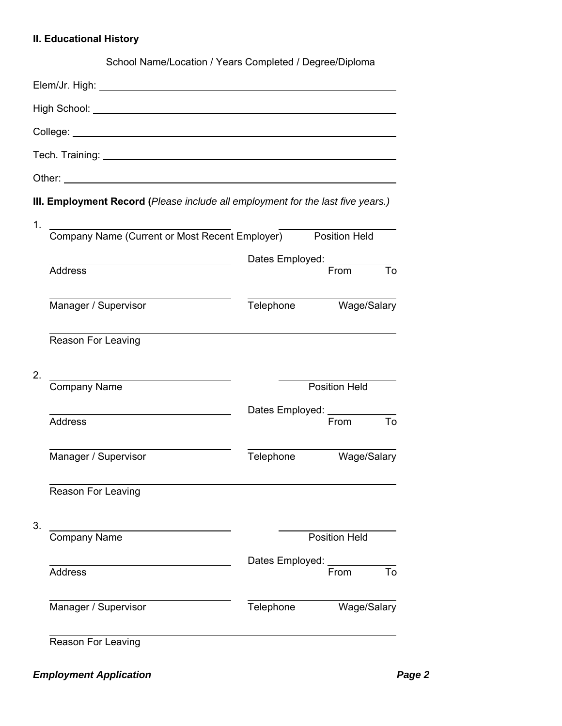# **II. Educational History**

|    |                                                                                                                                                                                                                                | School Name/Location / Years Completed / Degree/Diploma |                            |    |  |
|----|--------------------------------------------------------------------------------------------------------------------------------------------------------------------------------------------------------------------------------|---------------------------------------------------------|----------------------------|----|--|
|    | Elem/Jr. High: William Communication of the Communication of the Communication of the Communication of the Communication of the Communication of the Communication of the Communication of the Communication of the Communicat |                                                         |                            |    |  |
|    |                                                                                                                                                                                                                                |                                                         |                            |    |  |
|    |                                                                                                                                                                                                                                |                                                         |                            |    |  |
|    |                                                                                                                                                                                                                                |                                                         |                            |    |  |
|    |                                                                                                                                                                                                                                |                                                         |                            |    |  |
|    | III. Employment Record (Please include all employment for the last five years.)                                                                                                                                                |                                                         |                            |    |  |
| 1. |                                                                                                                                                                                                                                |                                                         |                            |    |  |
|    | -<br>Company Name (Current or Most Recent Employer)                                                                                                                                                                            |                                                         | <b>Position Held</b>       |    |  |
|    |                                                                                                                                                                                                                                |                                                         | Dates Employed: __________ |    |  |
|    | <b>Address</b>                                                                                                                                                                                                                 |                                                         | From                       | To |  |
|    | Manager / Supervisor                                                                                                                                                                                                           | Telephone                                               | Wage/Salary                |    |  |
|    | Reason For Leaving                                                                                                                                                                                                             |                                                         |                            |    |  |
| 2. |                                                                                                                                                                                                                                |                                                         |                            |    |  |
|    | <b>Company Name</b>                                                                                                                                                                                                            |                                                         | <b>Position Held</b>       |    |  |
|    | <b>Address</b>                                                                                                                                                                                                                 | Dates Employed: _______                                 | From                       | To |  |
|    |                                                                                                                                                                                                                                |                                                         |                            |    |  |
|    | Manager / Supervisor                                                                                                                                                                                                           | Telephone                                               | Wage/Salary                |    |  |
|    | Reason For Leaving                                                                                                                                                                                                             |                                                         |                            |    |  |
| 3. | <b>Company Name</b>                                                                                                                                                                                                            |                                                         | <b>Position Held</b>       |    |  |
|    |                                                                                                                                                                                                                                | Dates Employed:                                         |                            |    |  |
|    | <b>Address</b>                                                                                                                                                                                                                 |                                                         | From                       | To |  |
|    | Manager / Supervisor                                                                                                                                                                                                           | Telephone                                               | Wage/Salary                |    |  |
|    | <b>Reason For Leaving</b>                                                                                                                                                                                                      |                                                         |                            |    |  |

**Employment Application Page 2** *Page 2*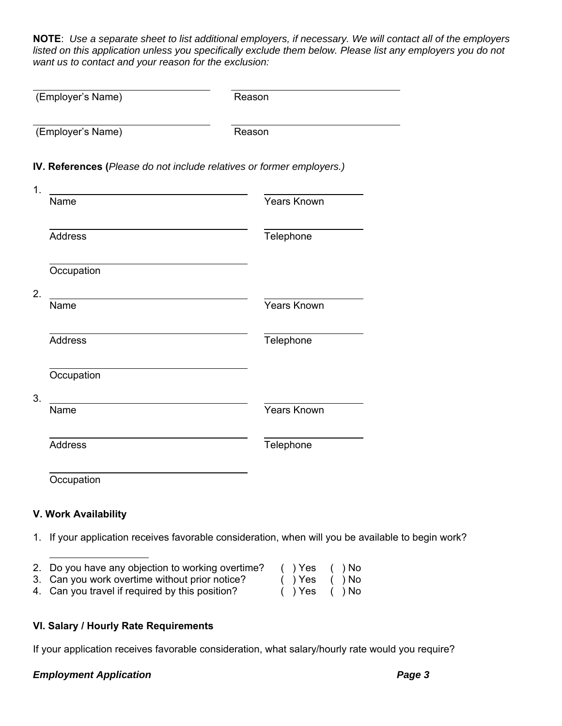**NOTE**: *Use a separate sheet to list additional employers, if necessary. We will contact all of the employers listed on this application unless you specifically exclude them below. Please list any employers you do not want us to contact and your reason for the exclusion:*

| (Employer's Name) | Reason                                                                |
|-------------------|-----------------------------------------------------------------------|
|                   |                                                                       |
|                   | IV. References (Please do not include relatives or former employers.) |
|                   |                                                                       |
| Name              | <b>Years Known</b>                                                    |
| <b>Address</b>    | Telephone                                                             |
| Occupation        |                                                                       |
| Name              | <b>Years Known</b>                                                    |
| <b>Address</b>    | Telephone                                                             |
| Occupation        |                                                                       |
| Name              | Years Known                                                           |
| <b>Address</b>    | Telephone                                                             |
| Occupation        |                                                                       |

1. If your application receives favorable consideration, when will you be available to begin work?

| 2. Do you have any objection to working overtime? | ( ) Yes ( )No      |  |
|---------------------------------------------------|--------------------|--|
| 3. Can you work overtime without prior notice?    | ( ) Yes ( ) No     |  |
| 4. Can you travel if required by this position?   | $( )$ Yes $( )$ No |  |

## **VI. Salary / Hourly Rate Requirements**

If your application receives favorable consideration, what salary/hourly rate would you require?

## **Employment Application** *Page 3*